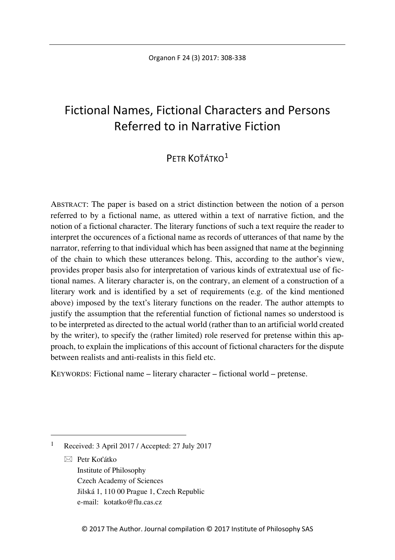# Fictional Names, Fictional Characters and Persons Referred to in Narrative Fiction

## $P$ ETR KOŤÁTKO $1$

ABSTRACT: The paper is based on a strict distinction between the notion of a person referred to by a fictional name, as uttered within a text of narrative fiction, and the notion of a fictional character. The literary functions of such a text require the reader to interpret the occurences of a fictional name as records of utterances of that name by the narrator, referring to that individual which has been assigned that name at the beginning of the chain to which these utterances belong. This, according to the author's view, provides proper basis also for interpretation of various kinds of extratextual use of fictional names. A literary character is, on the contrary, an element of a construction of a literary work and is identified by a set of requirements (e.g. of the kind mentioned above) imposed by the text's literary functions on the reader. The author attempts to justify the assumption that the referential function of fictional names so understood is to be interpreted as directed to the actual world (rather than to an artificial world created by the writer), to specify the (rather limited) role reserved for pretense within this approach, to explain the implications of this account of fictional characters for the dispute between realists and anti-realists in this field etc.

KEYWORDS: Fictional name – literary character – fictional world – pretense.

 $\boxtimes$  Petr Koťátko Institute of Philosophy Czech Academy of Sciences Jilská 1, 110 00 Prague 1, Czech Republic e-mail: kotatko@flu.cas.cz

<span id="page-0-0"></span> <sup>1</sup> Received: 3 April 2017 / Accepted: 27 July 2017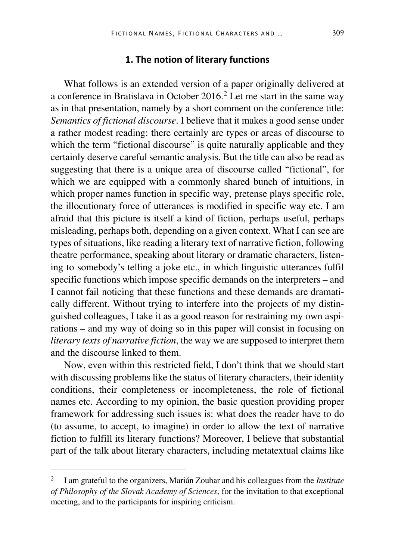#### **1. The notion of literary functions**

What follows is an extended version of a paper originally delivered at a conference in Bratislava in October [2](#page-1-0)016.<sup>2</sup> Let me start in the same way as in that presentation, namely by a short comment on the conference title: *Semantics of fictional discourse*. I believe that it makes a good sense under a rather modest reading: there certainly are types or areas of discourse to which the term "fictional discourse" is quite naturally applicable and they certainly deserve careful semantic analysis. But the title can also be read as suggesting that there is a unique area of discourse called "fictional", for which we are equipped with a commonly shared bunch of intuitions, in which proper names function in specific way, pretense plays specific role, the illocutionary force of utterances is modified in specific way etc. I am afraid that this picture is itself a kind of fiction, perhaps useful, perhaps misleading, perhaps both, depending on a given context. What I can see are types of situations, like reading a literary text of narrative fiction, following theatre performance, speaking about literary or dramatic characters, listening to somebody's telling a joke etc., in which linguistic utterances fulfil specific functions which impose specific demands on the interpreters – and I cannot fail noticing that these functions and these demands are dramatically different. Without trying to interfere into the projects of my distinguished colleagues, I take it as a good reason for restraining my own aspirations – and my way of doing so in this paper will consist in focusing on *literary texts of narrative fiction*, the way we are supposed to interpret them and the discourse linked to them.

Now, even within this restricted field, I don't think that we should start with discussing problems like the status of literary characters, their identity conditions, their completeness or incompleteness, the role of fictional names etc. According to my opinion, the basic question providing proper framework for addressing such issues is: what does the reader have to do (to assume, to accept, to imagine) in order to allow the text of narrative fiction to fulfill its literary functions? Moreover, I believe that substantial part of the talk about literary characters, including metatextual claims like

<span id="page-1-0"></span> <sup>2</sup> I am grateful to the organizers, Marián Zouhar and his colleagues from the *Institute of Philosophy of the Slovak Academy of Sciences*, for the invitation to that exceptional meeting, and to the participants for inspiring criticism.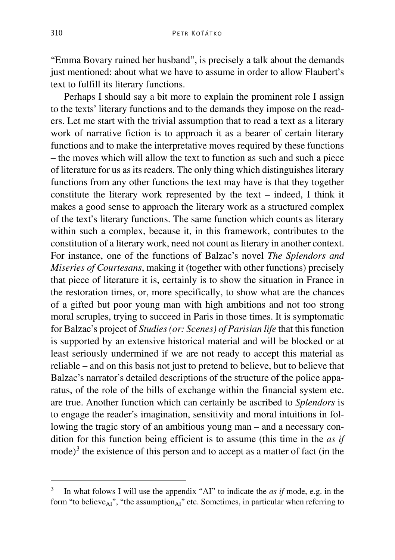"Emma Bovary ruined her husband", is precisely a talk about the demands just mentioned: about what we have to assume in order to allow Flaubert's text to fulfill its literary functions.

Perhaps I should say a bit more to explain the prominent role I assign to the texts' literary functions and to the demands they impose on the readers. Let me start with the trivial assumption that to read a text as a literary work of narrative fiction is to approach it as a bearer of certain literary functions and to make the interpretative moves required by these functions – the moves which will allow the text to function as such and such a piece of literature for us as its readers. The only thing which distinguishes literary functions from any other functions the text may have is that they together constitute the literary work represented by the text – indeed, I think it makes a good sense to approach the literary work as a structured complex of the text's literary functions. The same function which counts as literary within such a complex, because it, in this framework, contributes to the constitution of a literary work, need not count as literary in another context. For instance, one of the functions of Balzac's novel *The Splendors and Miseries of Courtesans*, making it (together with other functions) precisely that piece of literature it is, certainly is to show the situation in France in the restoration times, or, more specifically, to show what are the chances of a gifted but poor young man with high ambitions and not too strong moral scruples, trying to succeed in Paris in those times. It is symptomatic for Balzac's project of *Studies (or: Scenes) of Parisian life* that this function is supported by an extensive historical material and will be blocked or at least seriously undermined if we are not ready to accept this material as reliable – and on this basis not just to pretend to believe, but to believe that Balzac's narrator's detailed descriptions of the structure of the police apparatus, of the role of the bills of exchange within the financial system etc. are true. Another function which can certainly be ascribed to *Splendors* is to engage the reader's imagination, sensitivity and moral intuitions in following the tragic story of an ambitious young man – and a necessary condition for this function being efficient is to assume (this time in the *as if* mode)<sup>[3](#page-2-0)</sup> the existence of this person and to accept as a matter of fact (in the

<span id="page-2-0"></span> <sup>3</sup> In what folows I will use the appendix "AI" to indicate the *as if* mode, e.g. in the form "to believe<sub>AI</sub>", "the assumption<sub>AI</sub>" etc. Sometimes, in particular when referring to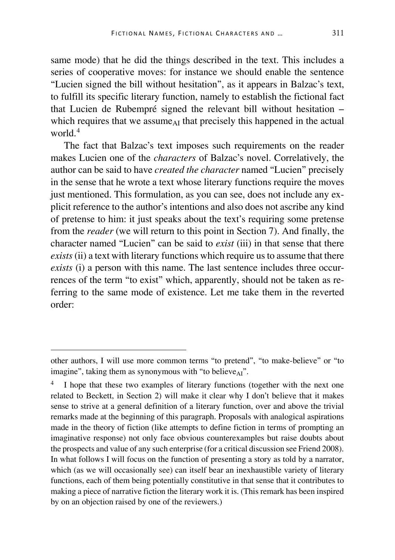same mode) that he did the things described in the text. This includes a series of cooperative moves: for instance we should enable the sentence "Lucien signed the bill without hesitation", as it appears in Balzac's text, to fulfill its specific literary function, namely to establish the fictional fact that Lucien de Rubempré signed the relevant bill without hesitation – which requires that we assume<sub>AI</sub> that precisely this happened in the actual world  $4$ 

The fact that Balzac's text imposes such requirements on the reader makes Lucien one of the *characters* of Balzac's novel. Correlatively, the author can be said to have *created the character* named "Lucien" precisely in the sense that he wrote a text whose literary functions require the moves just mentioned. This formulation, as you can see, does not include any explicit reference to the author's intentions and also does not ascribe any kind of pretense to him: it just speaks about the text's requiring some pretense from the *reader* (we will return to this point in Section 7). And finally, the character named "Lucien" can be said to *exist* (iii) in that sense that there *exists*(ii) a text with literary functions which require us to assume that there *exists* (i) a person with this name. The last sentence includes three occurrences of the term "to exist" which, apparently, should not be taken as referring to the same mode of existence. Let me take them in the reverted order:

other authors, I will use more common terms "to pretend", "to make-believe" or "to imagine", taking them as synonymous with "to believe $_{AI}$ ".

<span id="page-3-0"></span>I hope that these two examples of literary functions (together with the next one related to Beckett, in Section 2) will make it clear why I don't believe that it makes sense to strive at a general definition of a literary function, over and above the trivial remarks made at the beginning of this paragraph. Proposals with analogical aspirations made in the theory of fiction (like attempts to define fiction in terms of prompting an imaginative response) not only face obvious counterexamples but raise doubts about the prospects and value of any such enterprise (for a critical discussion see Friend 2008). In what follows I will focus on the function of presenting a story as told by a narrator, which (as we will occasionally see) can itself bear an inexhaustible variety of literary functions, each of them being potentially constitutive in that sense that it contributes to making a piece of narrative fiction the literary work it is. (This remark has been inspired by on an objection raised by one of the reviewers.)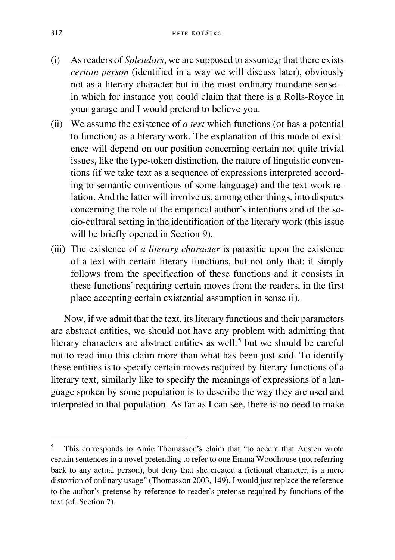- (i) As readers of *Splendors*, we are supposed to assume<sub>AI</sub> that there exists *certain person* (identified in a way we will discuss later), obviously not as a literary character but in the most ordinary mundane sense – in which for instance you could claim that there is a Rolls-Royce in your garage and I would pretend to believe you.
- (ii) We assume the existence of *a text* which functions (or has a potential to function) as a literary work. The explanation of this mode of existence will depend on our position concerning certain not quite trivial issues, like the type-token distinction, the nature of linguistic conventions (if we take text as a sequence of expressions interpreted according to semantic conventions of some language) and the text-work relation. And the latter will involve us, among other things, into disputes concerning the role of the empirical author's intentions and of the socio-cultural setting in the identification of the literary work (this issue will be briefly opened in Section 9).
- (iii) The existence of *a literary character* is parasitic upon the existence of a text with certain literary functions, but not only that: it simply follows from the specification of these functions and it consists in these functions' requiring certain moves from the readers, in the first place accepting certain existential assumption in sense (i).

Now, if we admit that the text, its literary functions and their parameters are abstract entities, we should not have any problem with admitting that literary characters are abstract entities as well: $<sup>5</sup>$  $<sup>5</sup>$  $<sup>5</sup>$  but we should be careful</sup> not to read into this claim more than what has been just said. To identify these entities is to specify certain moves required by literary functions of a literary text, similarly like to specify the meanings of expressions of a language spoken by some population is to describe the way they are used and interpreted in that population. As far as I can see, there is no need to make

<span id="page-4-0"></span> <sup>5</sup> This corresponds to Amie Thomasson's claim that "to accept that Austen wrote certain sentences in a novel pretending to refer to one Emma Woodhouse (not referring back to any actual person), but deny that she created a fictional character, is a mere distortion of ordinary usage" (Thomasson 2003, 149). I would just replace the reference to the author's pretense by reference to reader's pretense required by functions of the text (cf. Section 7).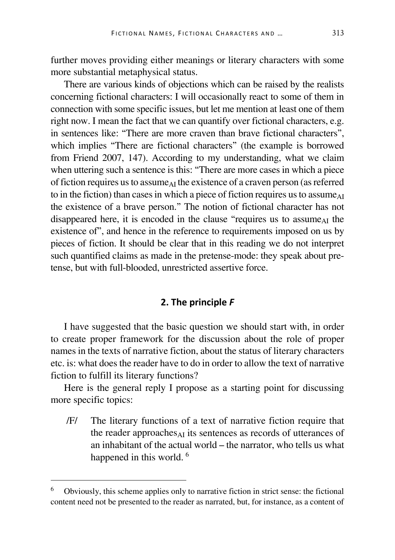further moves providing either meanings or literary characters with some more substantial metaphysical status.

There are various kinds of objections which can be raised by the realists concerning fictional characters: I will occasionally react to some of them in connection with some specific issues, but let me mention at least one of them right now. I mean the fact that we can quantify over fictional characters, e.g. in sentences like: "There are more craven than brave fictional characters", which implies "There are fictional characters" (the example is borrowed from Friend 2007, 147). According to my understanding, what we claim when uttering such a sentence is this: "There are more cases in which a piece of fiction requires us to assume<sub>AI</sub> the existence of a craven person (as referred to in the fiction) than cases in which a piece of fiction requires us to assume<sub>AI</sub> the existence of a brave person." The notion of fictional character has not disappeared here, it is encoded in the clause "requires us to assume<sub>AI</sub> the existence of", and hence in the reference to requirements imposed on us by pieces of fiction. It should be clear that in this reading we do not interpret such quantified claims as made in the pretense-mode: they speak about pretense, but with full-blooded, unrestricted assertive force.

#### **2. The principle** *F*

I have suggested that the basic question we should start with, in order to create proper framework for the discussion about the role of proper names in the texts of narrative fiction, about the status of literary characters etc. is: what does the reader have to do in order to allow the text of narrative fiction to fulfill its literary functions?

Here is the general reply I propose as a starting point for discussing more specific topics:

/F/ The literary functions of a text of narrative fiction require that the reader approaches  $\Delta I$  its sentences as records of utterances of an inhabitant of the actual world – the narrator, who tells us what happened in this world.<sup>[6](#page-5-0)</sup>

<span id="page-5-0"></span> <sup>6</sup> Obviously, this scheme applies only to narrative fiction in strict sense: the fictional content need not be presented to the reader as narrated, but, for instance, as a content of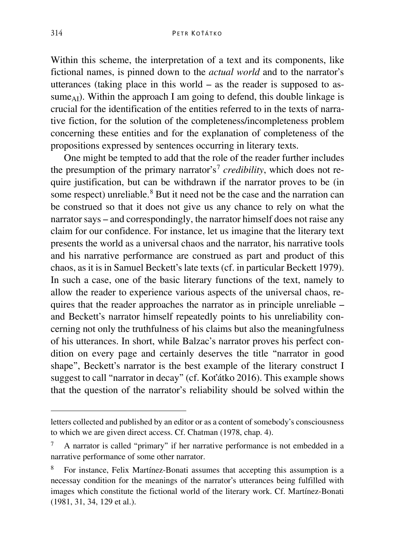Within this scheme, the interpretation of a text and its components, like fictional names, is pinned down to the *actual world* and to the narrator's utterances (taking place in this world – as the reader is supposed to assume<sub>AI</sub>). Within the approach I am going to defend, this double linkage is crucial for the identification of the entities referred to in the texts of narrative fiction, for the solution of the completeness/incompleteness problem concerning these entities and for the explanation of completeness of the propositions expressed by sentences occurring in literary texts.

One might be tempted to add that the role of the reader further includes the presumption of the primary narrator's<sup>[7](#page-6-0)</sup> *credibility*, which does not require justification, but can be withdrawn if the narrator proves to be (in some respect) unreliable.<sup>[8](#page-6-1)</sup> But it need not be the case and the narration can be construed so that it does not give us any chance to rely on what the narrator says – and correspondingly, the narrator himself does not raise any claim for our confidence. For instance, let us imagine that the literary text presents the world as a universal chaos and the narrator, his narrative tools and his narrative performance are construed as part and product of this chaos, as it is in Samuel Beckett's late texts (cf. in particular Beckett 1979). In such a case, one of the basic literary functions of the text, namely to allow the reader to experience various aspects of the universal chaos, requires that the reader approaches the narrator as in principle unreliable – and Beckett's narrator himself repeatedly points to his unreliability concerning not only the truthfulness of his claims but also the meaningfulness of his utterances. In short, while Balzac's narrator proves his perfect condition on every page and certainly deserves the title "narrator in good shape", Beckett's narrator is the best example of the literary construct I suggest to call "narrator in decay" (cf. Koťátko 2016). This example shows that the question of the narrator's reliability should be solved within the

Ĩ

letters collected and published by an editor or as a content of somebody's consciousness to which we are given direct access. Cf. Chatman (1978, chap. 4).

<span id="page-6-0"></span><sup>7</sup> A narrator is called "primary" if her narrative performance is not embedded in a narrative performance of some other narrator.

<span id="page-6-1"></span><sup>8</sup> For instance, Felix Martínez-Bonati assumes that accepting this assumption is a necessay condition for the meanings of the narrator's utterances being fulfilled with images which constitute the fictional world of the literary work. Cf. Martínez-Bonati (1981, 31, 34, 129 et al.).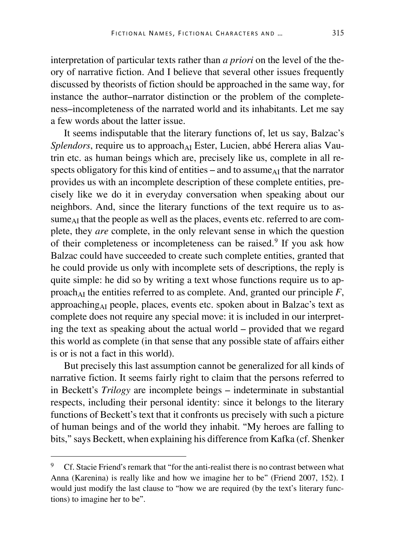interpretation of particular texts rather than *a priori* on the level of the theory of narrative fiction. And I believe that several other issues frequently discussed by theorists of fiction should be approached in the same way, for instance the author–narrator distinction or the problem of the completeness–incompleteness of the narrated world and its inhabitants. Let me say a few words about the latter issue.

It seems indisputable that the literary functions of, let us say, Balzac's Splendors, require us to approach<sub>AI</sub> Ester, Lucien, abbé Herera alias Vautrin etc. as human beings which are, precisely like us, complete in all respects obligatory for this kind of entities – and to assume $_{AI}$  that the narrator provides us with an incomplete description of these complete entities, precisely like we do it in everyday conversation when speaking about our neighbors. And, since the literary functions of the text require us to assume<sub>AI</sub> that the people as well as the places, events etc. referred to are complete, they *are* complete, in the only relevant sense in which the question of their completeness or incompleteness can be raised.<sup>[9](#page-7-0)</sup> If you ask how Balzac could have succeeded to create such complete entities, granted that he could provide us only with incomplete sets of descriptions, the reply is quite simple: he did so by writing a text whose functions require us to approach<sub>AI</sub> the entities referred to as complete. And, granted our principle  $F$ , approachingAI people, places, events etc. spoken about in Balzac's text as complete does not require any special move: it is included in our interpreting the text as speaking about the actual world – provided that we regard this world as complete (in that sense that any possible state of affairs either is or is not a fact in this world).

But precisely this last assumption cannot be generalized for all kinds of narrative fiction. It seems fairly right to claim that the persons referred to in Beckett's *Trilogy* are incomplete beings – indeterminate in substantial respects, including their personal identity: since it belongs to the literary functions of Beckett's text that it confronts us precisely with such a picture of human beings and of the world they inhabit. "My heroes are falling to bits," says Beckett, when explaining his difference from Kafka (cf. Shenker

<span id="page-7-0"></span> <sup>9</sup> Cf. Stacie Friend's remark that "for the anti-realist there is no contrast between what Anna (Karenina) is really like and how we imagine her to be" (Friend 2007, 152). I would just modify the last clause to "how we are required (by the text's literary functions) to imagine her to be".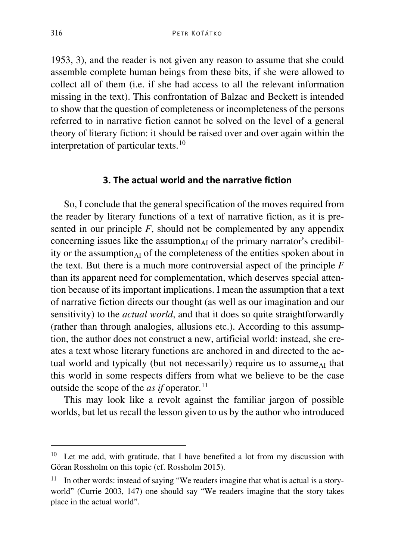1953, 3), and the reader is not given any reason to assume that she could assemble complete human beings from these bits, if she were allowed to collect all of them (i.e. if she had access to all the relevant information missing in the text). This confrontation of Balzac and Beckett is intended to show that the question of completeness or incompleteness of the persons referred to in narrative fiction cannot be solved on the level of a general theory of literary fiction: it should be raised over and over again within the interpretation of particular texts.[10](#page-8-0)

#### **3. The actual world and the narrative fiction**

So, I conclude that the general specification of the moves required from the reader by literary functions of a text of narrative fiction, as it is presented in our principle *F*, should not be complemented by any appendix concerning issues like the assumption $_{AI}$  of the primary narrator's credibility or the assumption $_{AI}$  of the completeness of the entities spoken about in the text. But there is a much more controversial aspect of the principle *F* than its apparent need for complementation, which deserves special attention because of its important implications. I mean the assumption that a text of narrative fiction directs our thought (as well as our imagination and our sensitivity) to the *actual world*, and that it does so quite straightforwardly (rather than through analogies, allusions etc.). According to this assumption, the author does not construct a new, artificial world: instead, she creates a text whose literary functions are anchored in and directed to the actual world and typically (but not necessarily) require us to assume<sub>AI</sub> that this world in some respects differs from what we believe to be the case outside the scope of the *as if* operator.<sup>[11](#page-8-1)</sup>

This may look like a revolt against the familiar jargon of possible worlds, but let us recall the lesson given to us by the author who introduced

<span id="page-8-0"></span> <sup>10</sup> Let me add, with gratitude, that I have benefited a lot from my discussion with Göran Rossholm on this topic (cf. Rossholm 2015).

<span id="page-8-1"></span> $11$  In other words: instead of saying "We readers imagine that what is actual is a storyworld" (Currie 2003, 147) one should say "We readers imagine that the story takes place in the actual world".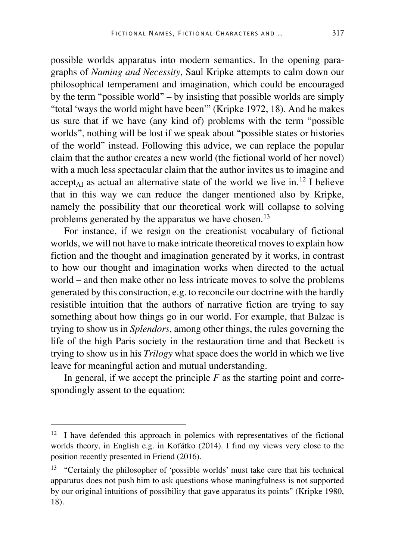possible worlds apparatus into modern semantics. In the opening paragraphs of *Naming and Necessity*, Saul Kripke attempts to calm down our philosophical temperament and imagination, which could be encouraged by the term "possible world" – by insisting that possible worlds are simply "total 'ways the world might have been'" (Kripke 1972, 18). And he makes us sure that if we have (any kind of) problems with the term "possible worlds", nothing will be lost if we speak about "possible states or histories of the world" instead. Following this advice, we can replace the popular claim that the author creates a new world (the fictional world of her novel) with a much less spectacular claim that the author invites us to imagine and  $accept_{AI}$  as actual an alternative state of the world we live in.<sup>[12](#page-9-0)</sup> I believe that in this way we can reduce the danger mentioned also by Kripke, namely the possibility that our theoretical work will collapse to solving problems generated by the apparatus we have chosen.<sup>[13](#page-9-1)</sup>

For instance, if we resign on the creationist vocabulary of fictional worlds, we will not have to make intricate theoretical moves to explain how fiction and the thought and imagination generated by it works, in contrast to how our thought and imagination works when directed to the actual world – and then make other no less intricate moves to solve the problems generated by this construction, e.g. to reconcile our doctrine with the hardly resistible intuition that the authors of narrative fiction are trying to say something about how things go in our world. For example, that Balzac is trying to show us in *Splendors*, among other things, the rules governing the life of the high Paris society in the restauration time and that Beckett is trying to show us in his *Trilogy* what space does the world in which we live leave for meaningful action and mutual understanding.

In general, if we accept the principle  $F$  as the starting point and correspondingly assent to the equation:

<span id="page-9-0"></span> $12$  I have defended this approach in polemics with representatives of the fictional worlds theory, in English e.g. in Koťátko (2014). I find my views very close to the position recently presented in Friend (2016).

<span id="page-9-1"></span><sup>13</sup> "Certainly the philosopher of 'possible worlds' must take care that his technical apparatus does not push him to ask questions whose maningfulness is not supported by our original intuitions of possibility that gave apparatus its points" (Kripke 1980, 18).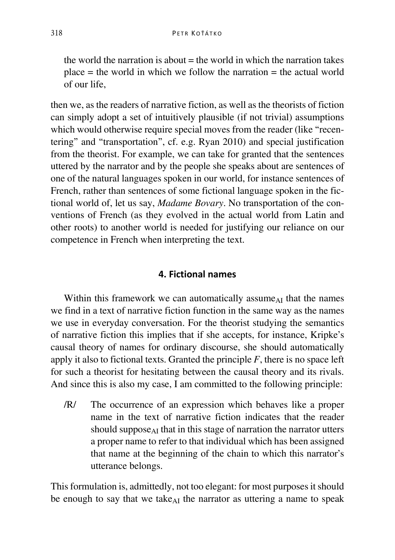the world the narration is about  $=$  the world in which the narration takes  $place = the world in which we follow the narration = the actual world$ of our life,

then we, as the readers of narrative fiction, as well as the theorists of fiction can simply adopt a set of intuitively plausible (if not trivial) assumptions which would otherwise require special moves from the reader (like "recentering" and "transportation", cf. e.g. Ryan 2010) and special justification from the theorist. For example, we can take for granted that the sentences uttered by the narrator and by the people she speaks about are sentences of one of the natural languages spoken in our world, for instance sentences of French, rather than sentences of some fictional language spoken in the fictional world of, let us say, *Madame Bovary*. No transportation of the conventions of French (as they evolved in the actual world from Latin and other roots) to another world is needed for justifying our reliance on our competence in French when interpreting the text.

#### **4. Fictional names**

Within this framework we can automatically assume<sub>AI</sub> that the names we find in a text of narrative fiction function in the same way as the names we use in everyday conversation. For the theorist studying the semantics of narrative fiction this implies that if she accepts, for instance, Kripke's causal theory of names for ordinary discourse, she should automatically apply it also to fictional texts. Granted the principle *F*, there is no space left for such a theorist for hesitating between the causal theory and its rivals. And since this is also my case, I am committed to the following principle:

/R/ The occurrence of an expression which behaves like a proper name in the text of narrative fiction indicates that the reader should suppose $_{\rm AI}$  that in this stage of narration the narrator utters a proper name to refer to that individual which has been assigned that name at the beginning of the chain to which this narrator's utterance belongs.

This formulation is, admittedly, not too elegant: for most purposes it should be enough to say that we take $_{AI}$  the narrator as uttering a name to speak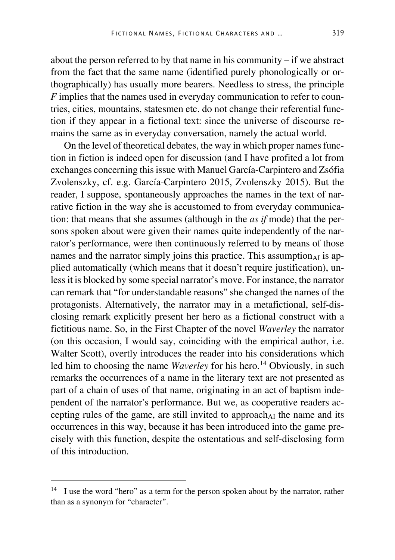about the person referred to by that name in his community – if we abstract from the fact that the same name (identified purely phonologically or orthographically) has usually more bearers. Needless to stress, the principle *F* implies that the names used in everyday communication to refer to countries, cities, mountains, statesmen etc. do not change their referential function if they appear in a fictional text: since the universe of discourse remains the same as in everyday conversation, namely the actual world.

On the level of theoretical debates, the way in which proper names function in fiction is indeed open for discussion (and I have profited a lot from exchanges concerning this issue with Manuel García-Carpintero and Zsófia Zvolenszky, cf. e.g. García-Carpintero 2015, Zvolenszky 2015). But the reader, I suppose, spontaneously approaches the names in the text of narrative fiction in the way she is accustomed to from everyday communication: that means that she assumes (although in the *as if* mode) that the persons spoken about were given their names quite independently of the narrator's performance, were then continuously referred to by means of those names and the narrator simply joins this practice. This assumption $_{AI}$  is applied automatically (which means that it doesn't require justification), unless it is blocked by some special narrator's move. For instance, the narrator can remark that "for understandable reasons" she changed the names of the protagonists. Alternatively, the narrator may in a metafictional, self-disclosing remark explicitly present her hero as a fictional construct with a fictitious name. So, in the First Chapter of the novel *Waverley* the narrator (on this occasion, I would say, coinciding with the empirical author, i.e. Walter Scott), overtly introduces the reader into his considerations which led him to choosing the name *Waverley* for his hero.<sup>[14](#page-11-0)</sup> Obviously, in such remarks the occurrences of a name in the literary text are not presented as part of a chain of uses of that name, originating in an act of baptism independent of the narrator's performance. But we, as cooperative readers accepting rules of the game, are still invited to approach<sub>AI</sub> the name and its occurrences in this way, because it has been introduced into the game precisely with this function, despite the ostentatious and self-disclosing form of this introduction.

<span id="page-11-0"></span><sup>&</sup>lt;sup>14</sup> I use the word "hero" as a term for the person spoken about by the narrator, rather than as a synonym for "character".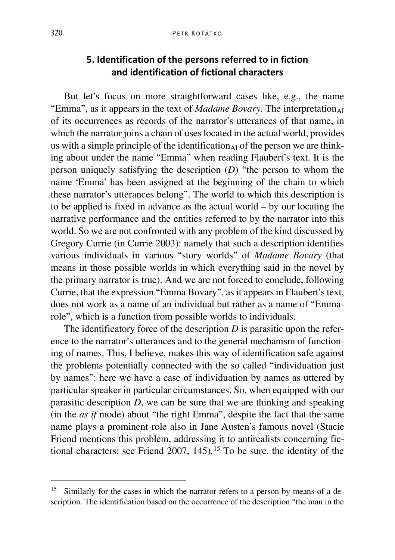## **5. Identification of the persons referred to in fiction and identification of fictional characters**

But let's focus on more straightforward cases like, e.g., the name "Emma", as it appears in the text of *Madame Bovary*. The interpretation $_{AI}$ of its occurrences as records of the narrator's utterances of that name, in which the narrator joins a chain of uses located in the actual world, provides us with a simple principle of the identification<sub> $AI$ </sub> of the person we are thinking about under the name "Emma" when reading Flaubert's text. It is the person uniquely satisfying the description (*D*) "the person to whom the name 'Emma' has been assigned at the beginning of the chain to which these narrator's utterances belong". The world to which this description is to be applied is fixed in advance as the actual world – by our locating the narrative performance and the entities referred to by the narrator into this world. So we are not confronted with any problem of the kind discussed by Gregory Currie (in Currie 2003): namely that such a description identifies various individuals in various "story worlds" of *Madame Bovary* (that means in those possible worlds in which everything said in the novel by the primary narrator is true). And we are not forced to conclude, following Currie, that the expression "Emma Bovary", as it appears in Flaubert's text, does not work as a name of an individual but rather as a name of "Emmarole", which is a function from possible worlds to individuals.

The identificatory force of the description *D* is parasitic upon the reference to the narrator's utterances and to the general mechanism of functioning of names. This, I believe, makes this way of identification safe against the problems potentially connected with the so called "individuation just by names": here we have a case of individuation by names as uttered by particular speaker in particular circumstances. So, when equipped with our parasitic description *D*, we can be sure that we are thinking and speaking (in the *as if* mode) about "the right Emma", despite the fact that the same name plays a prominent role also in Jane Austen's famous novel (Stacie Friend mentions this problem, addressing it to antirealists concerning fic-tional characters; see Friend 2007, 145).<sup>[15](#page-12-0)</sup> To be sure, the identity of the

<span id="page-12-0"></span><sup>&</sup>lt;sup>15</sup> Similarly for the cases in which the narrator refers to a person by means of a description. The identification based on the occurrence of the description "the man in the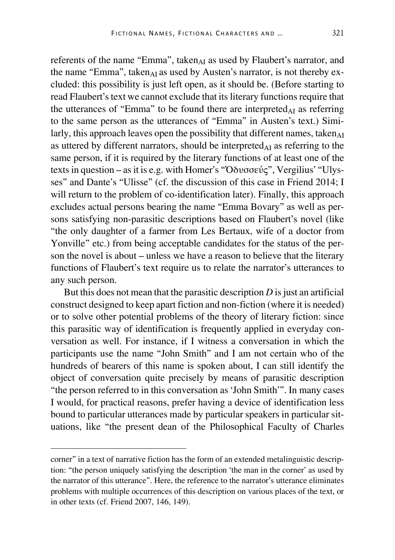referents of the name "Emma", taken $_{AI}$  as used by Flaubert's narrator, and the name "Emma", taken $_{AI}$  as used by Austen's narrator, is not thereby excluded: this possibility is just left open, as it should be. (Before starting to read Flaubert's text we cannot exclude that its literary functions require that the utterances of "Emma" to be found there are interpreted $_{AI}$  as referring to the same person as the utterances of "Emma" in Austen's text.) Similarly, this approach leaves open the possibility that different names, taken $_{\text{AI}}$ as uttered by different narrators, should be interpreted $_{AI}$  as referring to the same person, if it is required by the literary functions of at least one of the texts in question – as it is e.g. with Homer's "Ὀδυσσεύς", Vergilius' "Ulysses" and Dante's "Ulisse" (cf. the discussion of this case in Friend 2014; I will return to the problem of co-identification later). Finally, this approach excludes actual persons bearing the name "Emma Bovary" as well as persons satisfying non-parasitic descriptions based on Flaubert's novel (like "the only daughter of a farmer from Les Bertaux, wife of a doctor from Yonville" etc.) from being acceptable candidates for the status of the person the novel is about – unless we have a reason to believe that the literary functions of Flaubert's text require us to relate the narrator's utterances to any such person.

But this does not mean that the parasitic description *D* is just an artificial construct designed to keep apart fiction and non-fiction (where it is needed) or to solve other potential problems of the theory of literary fiction: since this parasitic way of identification is frequently applied in everyday conversation as well. For instance, if I witness a conversation in which the participants use the name "John Smith" and I am not certain who of the hundreds of bearers of this name is spoken about, I can still identify the object of conversation quite precisely by means of parasitic description "the person referred to in this conversation as 'John Smith'". In many cases I would, for practical reasons, prefer having a device of identification less bound to particular utterances made by particular speakers in particular situations, like "the present dean of the Philosophical Faculty of Charles

I

corner" in a text of narrative fiction has the form of an extended metalinguistic description: "the person uniquely satisfying the description 'the man in the corner' as used by the narrator of this utterance". Here, the reference to the narrator's utterance eliminates problems with multiple occurrences of this description on various places of the text, or in other texts (cf. Friend 2007, 146, 149).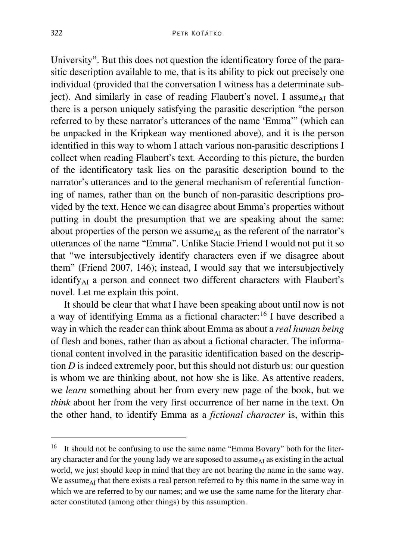University". But this does not question the identificatory force of the parasitic description available to me, that is its ability to pick out precisely one individual (provided that the conversation I witness has a determinate subject). And similarly in case of reading Flaubert's novel. I assume  $\Delta I$  that there is a person uniquely satisfying the parasitic description "the person referred to by these narrator's utterances of the name 'Emma'" (which can be unpacked in the Kripkean way mentioned above), and it is the person identified in this way to whom I attach various non-parasitic descriptions I collect when reading Flaubert's text. According to this picture, the burden of the identificatory task lies on the parasitic description bound to the narrator's utterances and to the general mechanism of referential functioning of names, rather than on the bunch of non-parasitic descriptions provided by the text. Hence we can disagree about Emma's properties without putting in doubt the presumption that we are speaking about the same: about properties of the person we assume<sub>AI</sub> as the referent of the narrator's utterances of the name "Emma". Unlike Stacie Friend I would not put it so that "we intersubjectively identify characters even if we disagree about them" (Friend 2007, 146); instead, I would say that we intersubjectively identify<sub>AI</sub> a person and connect two different characters with Flaubert's novel. Let me explain this point.

It should be clear that what I have been speaking about until now is not a way of identifying Emma as a fictional character:[16](#page-14-0) I have described a way in which the reader can think about Emma as about a *real human being* of flesh and bones, rather than as about a fictional character. The informational content involved in the parasitic identification based on the description *D* is indeed extremely poor, but this should not disturb us: our question is whom we are thinking about, not how she is like. As attentive readers, we *learn* something about her from every new page of the book, but we *think* about her from the very first occurrence of her name in the text. On the other hand, to identify Emma as a *fictional character* is, within this

<span id="page-14-0"></span><sup>&</sup>lt;sup>16</sup> It should not be confusing to use the same name "Emma Bovary" both for the literary character and for the young lady we are suposed to assume $_{AI}$  as existing in the actual world, we just should keep in mind that they are not bearing the name in the same way. We assume<sub> $\Delta I$ </sub> that there exists a real person referred to by this name in the same way in which we are referred to by our names; and we use the same name for the literary character constituted (among other things) by this assumption.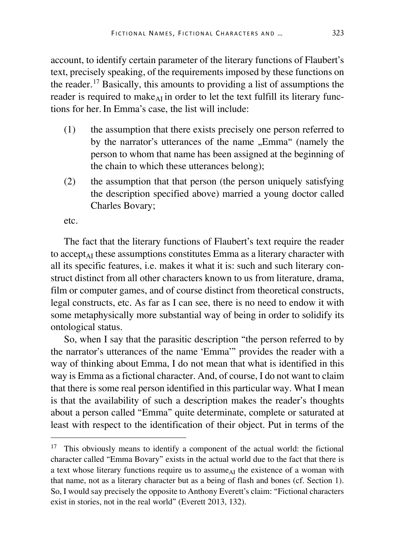account, to identify certain parameter of the literary functions of Flaubert's text, precisely speaking, of the requirements imposed by these functions on the reader.<sup>[17](#page-15-0)</sup> Basically, this amounts to providing a list of assumptions the reader is required to make  $_{\text{AT}}$  in order to let the text fulfill its literary functions for her.In Emma's case, the list will include:

- (1) the assumption that there exists precisely one person referred to by the narrator's utterances of the name "Emma" (namely the person to whom that name has been assigned at the beginning of the chain to which these utterances belong);
- (2) the assumption that that person (the person uniquely satisfying the description specified above) married a young doctor called Charles Bovary;

etc.

The fact that the literary functions of Flaubert's text require the reader to accept<sub>AI</sub> these assumptions constitutes Emma as a literary character with all its specific features, i.e. makes it what it is: such and such literary construct distinct from all other characters known to us from literature, drama, film or computer games, and of course distinct from theoretical constructs, legal constructs, etc. As far as I can see, there is no need to endow it with some metaphysically more substantial way of being in order to solidify its ontological status.

So, when I say that the parasitic description "the person referred to by the narrator's utterances of the name 'Emma'" provides the reader with a way of thinking about Emma, I do not mean that what is identified in this way is Emma as a fictional character. And, of course, I do not want to claim that there is some real person identified in this particular way. What I mean is that the availability of such a description makes the reader's thoughts about a person called "Emma" quite determinate, complete or saturated at least with respect to the identification of their object. Put in terms of the

<span id="page-15-0"></span><sup>&</sup>lt;sup>17</sup> This obviously means to identify a component of the actual world: the fictional character called "Emma Bovary" exists in the actual world due to the fact that there is a text whose literary functions require us to assume<sub>AI</sub> the existence of a woman with that name, not as a literary character but as a being of flash and bones (cf. Section 1). So, I would say precisely the opposite to Anthony Everett's claim: "Fictional characters exist in stories, not in the real world" (Everett 2013, 132).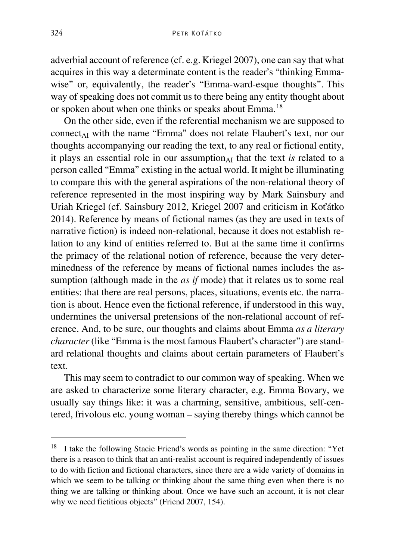adverbial account of reference (cf. e.g. Kriegel 2007), one can say that what acquires in this way a determinate content is the reader's "thinking Emmawise" or, equivalently, the reader's "Emma-ward-esque thoughts". This way of speaking does not commit us to there being any entity thought about or spoken about when one thinks or speaks about Emma.[18](#page-16-0)

On the other side, even if the referential mechanism we are supposed to connect<sub>AI</sub> with the name "Emma" does not relate Flaubert's text, nor our thoughts accompanying our reading the text, to any real or fictional entity, it plays an essential role in our assumption $_{AI}$  that the text *is* related to a person called "Emma" existing in the actual world. It might be illuminating to compare this with the general aspirations of the non-relational theory of reference represented in the most inspiring way by Mark Sainsbury and Uriah Kriegel (cf. Sainsbury 2012, Kriegel 2007 and criticism in Koťátko 2014). Reference by means of fictional names (as they are used in texts of narrative fiction) is indeed non-relational, because it does not establish relation to any kind of entities referred to. But at the same time it confirms the primacy of the relational notion of reference, because the very determinedness of the reference by means of fictional names includes the assumption (although made in the *as if* mode) that it relates us to some real entities: that there are real persons, places, situations, events etc. the narration is about. Hence even the fictional reference, if understood in this way, undermines the universal pretensions of the non-relational account of reference. And, to be sure, our thoughts and claims about Emma *as a literary character* (like "Emma is the most famous Flaubert's character") are standard relational thoughts and claims about certain parameters of Flaubert's text.

This may seem to contradict to our common way of speaking. When we are asked to characterize some literary character, e.g. Emma Bovary, we usually say things like: it was a charming, sensitive, ambitious, self-centered, frivolous etc. young woman – saying thereby things which cannot be

<span id="page-16-0"></span><sup>&</sup>lt;sup>18</sup> I take the following Stacie Friend's words as pointing in the same direction: "Yet there is a reason to think that an anti-realist account is required independently of issues to do with fiction and fictional characters, since there are a wide variety of domains in which we seem to be talking or thinking about the same thing even when there is no thing we are talking or thinking about. Once we have such an account, it is not clear why we need fictitious objects" (Friend 2007, 154).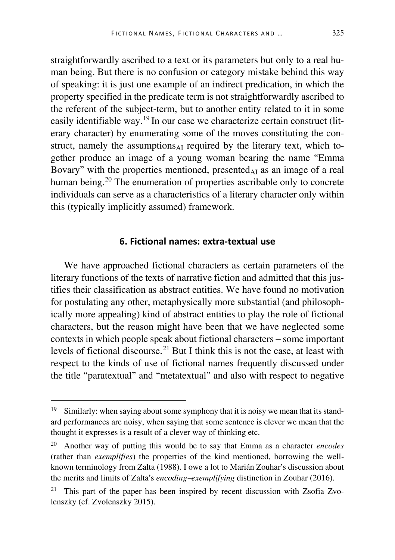straightforwardly ascribed to a text or its parameters but only to a real human being. But there is no confusion or category mistake behind this way of speaking: it is just one example of an indirect predication, in which the property specified in the predicate term is not straightforwardly ascribed to the referent of the subject-term, but to another entity related to it in some easily identifiable way.[19](#page-17-0) In our case we characterize certain construct (literary character) by enumerating some of the moves constituting the construct, namely the assumptions $_{AI}$  required by the literary text, which together produce an image of a young woman bearing the name "Emma Bovary" with the properties mentioned, presented<sub>AI</sub> as an image of a real human being.<sup>[20](#page-17-1)</sup> The enumeration of properties ascribable only to concrete individuals can serve as a characteristics of a literary character only within this (typically implicitly assumed) framework.

#### **6. Fictional names: extra-textual use**

We have approached fictional characters as certain parameters of the literary functions of the texts of narrative fiction and admitted that this justifies their classification as abstract entities. We have found no motivation for postulating any other, metaphysically more substantial (and philosophically more appealing) kind of abstract entities to play the role of fictional characters, but the reason might have been that we have neglected some contexts in which people speak about fictional characters – some important levels of fictional discourse.<sup>[21](#page-17-2)</sup> But I think this is not the case, at least with respect to the kinds of use of fictional names frequently discussed under the title "paratextual" and "metatextual" and also with respect to negative

<span id="page-17-0"></span><sup>&</sup>lt;sup>19</sup> Similarly: when saying about some symphony that it is noisy we mean that its standard performances are noisy, when saying that some sentence is clever we mean that the thought it expresses is a result of a clever way of thinking etc.

<span id="page-17-1"></span><sup>20</sup> Another way of putting this would be to say that Emma as a character *encodes* (rather than *exemplifies*) the properties of the kind mentioned, borrowing the wellknown terminology from Zalta (1988). I owe a lot to Marián Zouhar's discussion about the merits and limits of Zalta's *encoding–exemplifying* distinction in Zouhar (2016).

<span id="page-17-2"></span><sup>&</sup>lt;sup>21</sup> This part of the paper has been inspired by recent discussion with Zsofia Zvolenszky (cf. Zvolenszky 2015).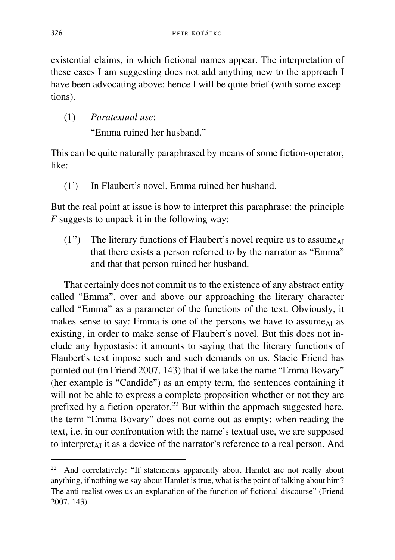existential claims, in which fictional names appear. The interpretation of these cases I am suggesting does not add anything new to the approach I have been advocating above: hence I will be quite brief (with some exceptions).

(1) *Paratextual use*: "Emma ruined her husband."

This can be quite naturally paraphrased by means of some fiction-operator, like:

(1') In Flaubert's novel, Emma ruined her husband.

But the real point at issue is how to interpret this paraphrase: the principle *F* suggests to unpack it in the following way:

 $(1'')$  The literary functions of Flaubert's novel require us to assume<sub>AI</sub> that there exists a person referred to by the narrator as "Emma" and that that person ruined her husband.

That certainly does not commit us to the existence of any abstract entity called "Emma", over and above our approaching the literary character called "Emma" as a parameter of the functions of the text. Obviously, it makes sense to say: Emma is one of the persons we have to assume  $\Delta I$  as existing, in order to make sense of Flaubert's novel. But this does not include any hypostasis: it amounts to saying that the literary functions of Flaubert's text impose such and such demands on us. Stacie Friend has pointed out (in Friend 2007, 143) that if we take the name "Emma Bovary" (her example is "Candide") as an empty term, the sentences containing it will not be able to express a complete proposition whether or not they are prefixed by a fiction operator.<sup>[22](#page-18-0)</sup> But within the approach suggested here, the term "Emma Bovary" does not come out as empty: when reading the text, i.e. in our confrontation with the name's textual use, we are supposed to interpret<sub>AI</sub> it as a device of the narrator's reference to a real person. And

<span id="page-18-0"></span><sup>&</sup>lt;sup>22</sup> And correlatively: "If statements apparently about Hamlet are not really about anything, if nothing we say about Hamlet is true, what is the point of talking about him? The anti-realist owes us an explanation of the function of fictional discourse" (Friend 2007, 143).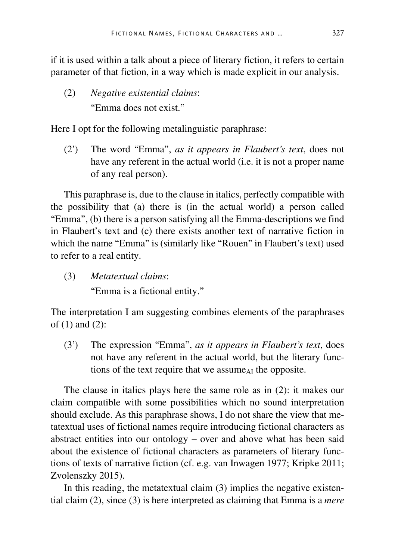if it is used within a talk about a piece of literary fiction, it refers to certain parameter of that fiction, in a way which is made explicit in our analysis.

(2) *Negative existential claims*: "Emma does not exist."

Here I opt for the following metalinguistic paraphrase:

(2') The word "Emma", *as it appears in Flaubert's text*, does not have any referent in the actual world (i.e. it is not a proper name of any real person).

This paraphrase is, due to the clause in italics, perfectly compatible with the possibility that (a) there is (in the actual world) a person called "Emma", (b) there is a person satisfying all the Emma-descriptions we find in Flaubert's text and (c) there exists another text of narrative fiction in which the name "Emma" is (similarly like "Rouen" in Flaubert's text) used to refer to a real entity.

(3) *Metatextual claims*:

"Emma is a fictional entity."

The interpretation I am suggesting combines elements of the paraphrases of (1) and (2):

(3') The expression "Emma", *as it appears in Flaubert's text*, does not have any referent in the actual world, but the literary functions of the text require that we assume<sub>AI</sub> the opposite.

The clause in italics plays here the same role as in (2): it makes our claim compatible with some possibilities which no sound interpretation should exclude. As this paraphrase shows, I do not share the view that metatextual uses of fictional names require introducing fictional characters as abstract entities into our ontology – over and above what has been said about the existence of fictional characters as parameters of literary functions of texts of narrative fiction (cf. e.g. van Inwagen 1977; Kripke 2011; Zvolenszky 2015).

In this reading, the metatextual claim (3) implies the negative existential claim (2), since (3) is here interpreted as claiming that Emma is a *mere*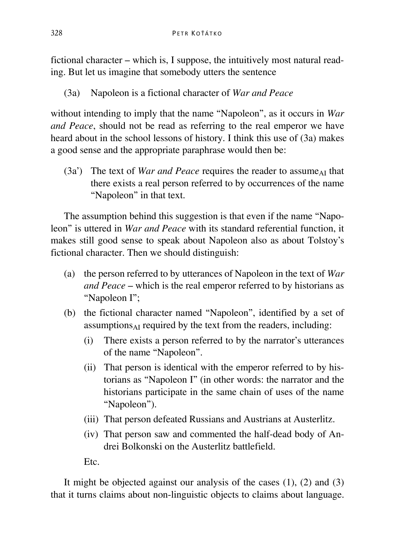fictional character – which is, I suppose, the intuitively most natural reading. But let us imagine that somebody utters the sentence

(3a) Napoleon is a fictional character of *War and Peace*

without intending to imply that the name "Napoleon", as it occurs in *War and Peace*, should not be read as referring to the real emperor we have heard about in the school lessons of history. I think this use of (3a) makes a good sense and the appropriate paraphrase would then be:

 $(3a')$  The text of *War and Peace* requires the reader to assume<sub>AI</sub> that there exists a real person referred to by occurrences of the name "Napoleon" in that text.

The assumption behind this suggestion is that even if the name "Napoleon" is uttered in *War and Peace* with its standard referential function, it makes still good sense to speak about Napoleon also as about Tolstoy's fictional character. Then we should distinguish:

- (a) the person referred to by utterances of Napoleon in the text of *War and Peace* – which is the real emperor referred to by historians as "Napoleon I";
- (b) the fictional character named "Napoleon", identified by a set of  $assumptions<sub>AI</sub> required by the text from the readers, including:$ 
	- (i) There exists a person referred to by the narrator's utterances of the name "Napoleon".
	- (ii) That person is identical with the emperor referred to by historians as "Napoleon I" (in other words: the narrator and the historians participate in the same chain of uses of the name "Napoleon").
	- (iii) That person defeated Russians and Austrians at Austerlitz.
	- (iv) That person saw and commented the half-dead body of Andrei Bolkonski on the Austerlitz battlefield.

Etc.

It might be objected against our analysis of the cases  $(1)$ ,  $(2)$  and  $(3)$ that it turns claims about non-linguistic objects to claims about language.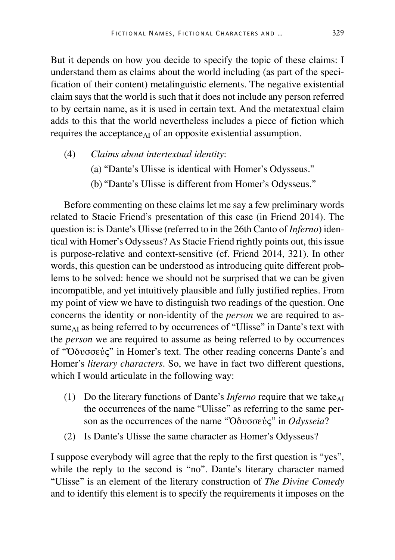But it depends on how you decide to specify the topic of these claims: I understand them as claims about the world including (as part of the specification of their content) metalinguistic elements. The negative existential claim says that the world is such that it does not include any person referred to by certain name, as it is used in certain text. And the metatextual claim adds to this that the world nevertheless includes a piece of fiction which requires the acceptance<sub>AI</sub> of an opposite existential assumption.

- (4) *Claims about intertextual identity*:
	- (a) "Dante's Ulisse is identical with Homer's Odysseus."
	- (b) "Dante's Ulisse is different from Homer's Odysseus."

Before commenting on these claims let me say a few preliminary words related to Stacie Friend's presentation of this case (in Friend 2014). The question is: is Dante's Ulisse (referred to in the 26th Canto of *Inferno*) identical with Homer's Odysseus? As Stacie Friend rightly points out, this issue is purpose-relative and context-sensitive (cf. Friend 2014, 321). In other words, this question can be understood as introducing quite different problems to be solved: hence we should not be surprised that we can be given incompatible, and yet intuitively plausible and fully justified replies. From my point of view we have to distinguish two readings of the question. One concerns the identity or non-identity of the *person* we are required to assume<sub>AI</sub> as being referred to by occurrences of "Ulisse" in Dante's text with the *person* we are required to assume as being referred to by occurrences of "Ὀδυσσεύς" in Homer's text. The other reading concerns Dante's and Homer's *literary characters*. So, we have in fact two different questions, which I would articulate in the following way:

- (1) Do the literary functions of Dante's *Inferno* require that we take $_{AI}$ the occurrences of the name "Ulisse" as referring to the same person as the occurrences of the name "Ὀδυσσεύς" in *Odysseia*?
- (2) Is Dante's Ulisse the same character as Homer's Odysseus?

I suppose everybody will agree that the reply to the first question is "yes", while the reply to the second is "no". Dante's literary character named "Ulisse" is an element of the literary construction of *The Divine Comedy* and to identify this element is to specify the requirements it imposes on the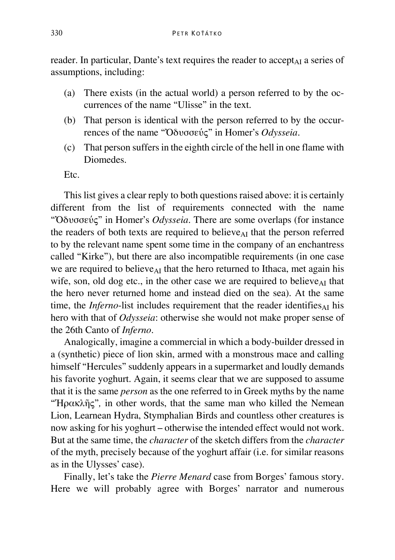reader. In particular, Dante's text requires the reader to accept<sub>AI</sub> a series of assumptions, including:

- (a) There exists (in the actual world) a person referred to by the occurrences of the name "Ulisse" in the text.
- (b) That person is identical with the person referred to by the occurrences of the name "Ὀδυσσεύς" in Homer's *Odysseia*.
- (c) That person suffers in the eighth circle of the hell in one flame with Diomedes.

Etc.

This list gives a clear reply to both questions raised above: it is certainly different from the list of requirements connected with the name "Ὀδυσσεύς" in Homer's *Odysseia*. There are some overlaps (for instance the readers of both texts are required to believe<sub>AI</sub> that the person referred to by the relevant name spent some time in the company of an enchantress called "Kirke"), but there are also incompatible requirements (in one case we are required to believe<sub> $AI$ </sub> that the hero returned to Ithaca, met again his wife, son, old dog etc., in the other case we are required to believe<sub>AI</sub> that the hero never returned home and instead died on the sea). At the same time, the *Inferno*-list includes requirement that the reader identifies $_{AI}$  his hero with that of *Odysseia*: otherwise she would not make proper sense of the 26th Canto of *Inferno*.

Analogically, imagine a commercial in which a body-builder dressed in a (synthetic) piece of lion skin, armed with a monstrous mace and calling himself "Hercules" suddenly appears in a supermarket and loudly demands his favorite yoghurt. Again, it seems clear that we are supposed to assume that it is the same *person* as the one referred to in Greek myths by the name "Ἡρακλῆς"*,* in other words, that the same man who killed the Nemean Lion, Learnean Hydra, Stymphalian Birds and countless other creatures is now asking for his yoghurt – otherwise the intended effect would not work. But at the same time, the *character* of the sketch differs from the *character* of the myth, precisely because of the yoghurt affair (i.e. for similar reasons as in the Ulysses' case).

Finally, let's take the *Pierre Menard* case from Borges' famous story. Here we will probably agree with Borges' narrator and numerous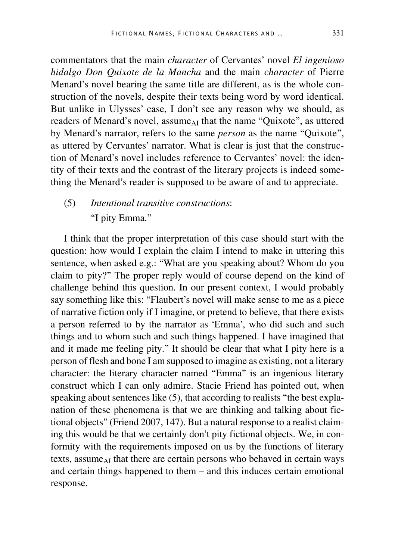commentators that the main *character* of Cervantes' novel *El ingenioso hidalgo Don Quixote de la Mancha* and the main *character* of Pierre Menard's novel bearing the same title are different, as is the whole construction of the novels, despite their texts being word by word identical. But unlike in Ulysses' case, I don't see any reason why we should, as readers of Menard's novel, assume<sub>AI</sub> that the name "Quixote", as uttered by Menard's narrator, refers to the same *person* as the name "Quixote", as uttered by Cervantes' narrator. What is clear is just that the construction of Menard's novel includes reference to Cervantes' novel: the identity of their texts and the contrast of the literary projects is indeed something the Menard's reader is supposed to be aware of and to appreciate.

## (5) *Intentional transitive constructions*: "I pity Emma."

I think that the proper interpretation of this case should start with the question: how would I explain the claim I intend to make in uttering this sentence, when asked e.g.: "What are you speaking about? Whom do you claim to pity?" The proper reply would of course depend on the kind of challenge behind this question. In our present context, I would probably say something like this: "Flaubert's novel will make sense to me as a piece of narrative fiction only if I imagine, or pretend to believe, that there exists a person referred to by the narrator as 'Emma', who did such and such things and to whom such and such things happened. I have imagined that and it made me feeling pity." It should be clear that what I pity here is a person of flesh and bone I am supposed to imagine as existing, not a literary character: the literary character named "Emma" is an ingenious literary construct which I can only admire. Stacie Friend has pointed out, when speaking about sentences like (5), that according to realists "the best explanation of these phenomena is that we are thinking and talking about fictional objects" (Friend 2007, 147). But a natural response to a realist claiming this would be that we certainly don't pity fictional objects. We, in conformity with the requirements imposed on us by the functions of literary texts, assume $_{AI}$  that there are certain persons who behaved in certain ways and certain things happened to them – and this induces certain emotional response.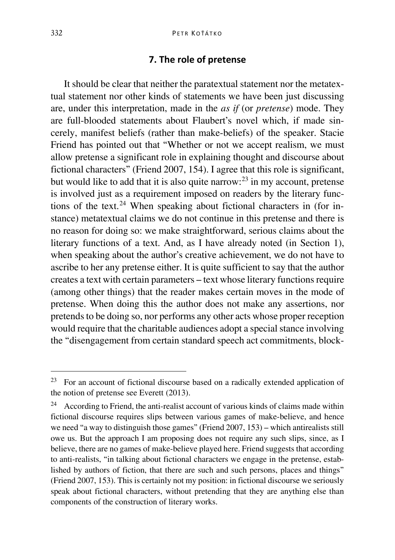#### **7. The role of pretense**

It should be clear that neither the paratextual statement nor the metatextual statement nor other kinds of statements we have been just discussing are, under this interpretation, made in the *as if* (or *pretense*) mode. They are full-blooded statements about Flaubert's novel which, if made sincerely, manifest beliefs (rather than make-beliefs) of the speaker. Stacie Friend has pointed out that "Whether or not we accept realism, we must allow pretense a significant role in explaining thought and discourse about fictional characters" (Friend 2007, 154). I agree that this role is significant, but would like to add that it is also quite narrow: $^{23}$  $^{23}$  $^{23}$  in my account, pretense is involved just as a requirement imposed on readers by the literary func-tions of the text.<sup>[24](#page-24-1)</sup> When speaking about fictional characters in (for instance) metatextual claims we do not continue in this pretense and there is no reason for doing so: we make straightforward, serious claims about the literary functions of a text. And, as I have already noted (in Section 1), when speaking about the author's creative achievement, we do not have to ascribe to her any pretense either. It is quite sufficient to say that the author creates a text with certain parameters – text whose literary functions require (among other things) that the reader makes certain moves in the mode of pretense. When doing this the author does not make any assertions, nor pretends to be doing so, nor performs any other acts whose proper reception would require that the charitable audiences adopt a special stance involving the "disengagement from certain standard speech act commitments, block-

<span id="page-24-0"></span> <sup>23</sup> For an account of fictional discourse based on a radically extended application of the notion of pretense see Everett (2013).

<span id="page-24-1"></span><sup>24</sup> According to Friend, the anti-realist account of various kinds of claims made within fictional discourse requires slips between various games of make-believe, and hence we need "a way to distinguish those games" (Friend 2007, 153) – which antirealists still owe us. But the approach I am proposing does not require any such slips, since, as I believe, there are no games of make-believe played here. Friend suggests that according to anti-realists, "in talking about fictional characters we engage in the pretense, established by authors of fiction, that there are such and such persons, places and things" (Friend 2007, 153). This is certainly not my position: in fictional discourse we seriously speak about fictional characters, without pretending that they are anything else than components of the construction of literary works.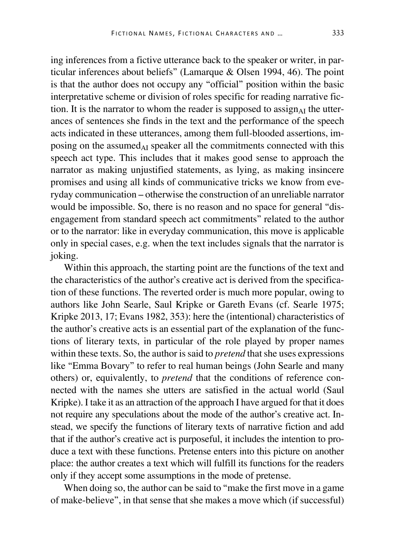ing inferences from a fictive utterance back to the speaker or writer, in particular inferences about beliefs" (Lamarque & Olsen 1994, 46). The point is that the author does not occupy any "official" position within the basic interpretative scheme or division of roles specific for reading narrative fiction. It is the narrator to whom the reader is supposed to assign<sub>AI</sub> the utterances of sentences she finds in the text and the performance of the speech acts indicated in these utterances, among them full-blooded assertions, imposing on the assumed $_{AI}$  speaker all the commitments connected with this speech act type. This includes that it makes good sense to approach the narrator as making unjustified statements, as lying, as making insincere promises and using all kinds of communicative tricks we know from everyday communication – otherwise the construction of an unreliable narrator would be impossible. So, there is no reason and no space for general "disengagement from standard speech act commitments" related to the author or to the narrator: like in everyday communication, this move is applicable only in special cases, e.g. when the text includes signals that the narrator is joking.

Within this approach, the starting point are the functions of the text and the characteristics of the author's creative act is derived from the specification of these functions. The reverted order is much more popular, owing to authors like John Searle, Saul Kripke or Gareth Evans (cf. Searle 1975; Kripke 2013, 17; Evans 1982, 353): here the (intentional) characteristics of the author's creative acts is an essential part of the explanation of the functions of literary texts, in particular of the role played by proper names within these texts. So, the author is said to *pretend* that she uses expressions like "Emma Bovary" to refer to real human beings (John Searle and many others) or, equivalently, to *pretend* that the conditions of reference connected with the names she utters are satisfied in the actual world (Saul Kripke). I take it as an attraction of the approach I have argued for that it does not require any speculations about the mode of the author's creative act. Instead, we specify the functions of literary texts of narrative fiction and add that if the author's creative act is purposeful, it includes the intention to produce a text with these functions. Pretense enters into this picture on another place: the author creates a text which will fulfill its functions for the readers only if they accept some assumptions in the mode of pretense.

When doing so, the author can be said to "make the first move in a game of make-believe", in that sense that she makes a move which (if successful)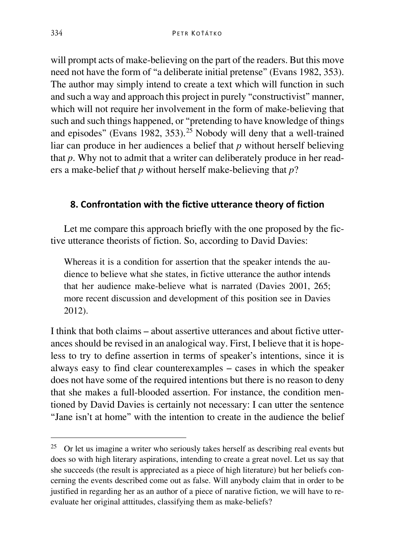will prompt acts of make-believing on the part of the readers. But this move need not have the form of "a deliberate initial pretense" (Evans 1982, 353). The author may simply intend to create a text which will function in such and such a way and approach this project in purely "constructivist" manner, which will not require her involvement in the form of make-believing that such and such things happened, or "pretending to have knowledge of things and episodes" (Evans 1982, 353).<sup>[25](#page-26-0)</sup> Nobody will deny that a well-trained liar can produce in her audiences a belief that *p* without herself believing that *p*. Why not to admit that a writer can deliberately produce in her readers a make-belief that *p* without herself make-believing that *p*?

### **8. Confrontation with the fictive utterance theory of fiction**

Let me compare this approach briefly with the one proposed by the fictive utterance theorists of fiction. So, according to David Davies:

Whereas it is a condition for assertion that the speaker intends the audience to believe what she states, in fictive utterance the author intends that her audience make-believe what is narrated (Davies 2001, 265; more recent discussion and development of this position see in Davies 2012).

I think that both claims – about assertive utterances and about fictive utterances should be revised in an analogical way. First, I believe that it is hopeless to try to define assertion in terms of speaker's intentions, since it is always easy to find clear counterexamples – cases in which the speaker does not have some of the required intentions but there is no reason to deny that she makes a full-blooded assertion. For instance, the condition mentioned by David Davies is certainly not necessary: I can utter the sentence "Jane isn't at home" with the intention to create in the audience the belief

<span id="page-26-0"></span> $25$  Or let us imagine a writer who seriously takes herself as describing real events but does so with high literary aspirations, intending to create a great novel. Let us say that she succeeds (the result is appreciated as a piece of high literature) but her beliefs concerning the events described come out as false. Will anybody claim that in order to be justified in regarding her as an author of a piece of narative fiction, we will have to reevaluate her original atttitudes, classifying them as make-beliefs?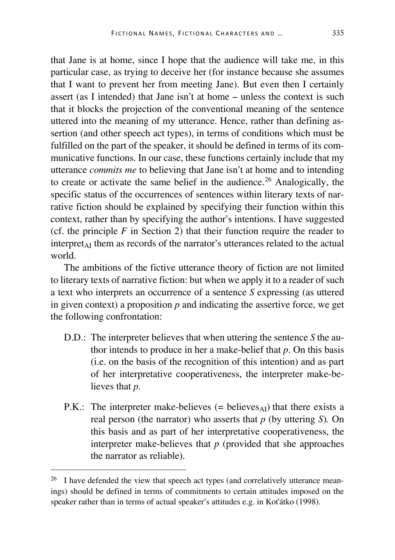that Jane is at home, since I hope that the audience will take me, in this particular case, as trying to deceive her (for instance because she assumes that I want to prevent her from meeting Jane). But even then I certainly assert (as I intended) that Jane isn't at home – unless the context is such that it blocks the projection of the conventional meaning of the sentence uttered into the meaning of my utterance. Hence, rather than defining assertion (and other speech act types), in terms of conditions which must be fulfilled on the part of the speaker, it should be defined in terms of its communicative functions. In our case, these functions certainly include that my utterance *commits me* to believing that Jane isn't at home and to intending to create or activate the same belief in the audience.<sup>[26](#page-27-0)</sup> Analogically, the specific status of the occurrences of sentences within literary texts of narrative fiction should be explained by specifying their function within this context, rather than by specifying the author's intentions. I have suggested (cf. the principle  $F$  in Section 2) that their function require the reader to interpret<sub>AI</sub> them as records of the narrator's utterances related to the actual world.

The ambitions of the fictive utterance theory of fiction are not limited to literary texts of narrative fiction: but when we apply it to a reader of such a text who interprets an occurrence of a sentence *S* expressing (as uttered in given context) a proposition  $p$  and indicating the assertive force, we get the following confrontation:

- D.D.: The interpreter believes that when uttering the sentence *S* the author intends to produce in her a make-belief that *p*. On this basis (i.e. on the basis of the recognition of this intention) and as part of her interpretative cooperativeness, the interpreter make-believes that *p.*
- P.K.: The interpreter make-believes  $(=$  believes<sub>AI</sub>) that there exists a real person (the narrator) who asserts that *p* (by uttering *S*)*.* On this basis and as part of her interpretative cooperativeness, the interpreter make-believes that *p* (provided that she approaches the narrator as reliable).

<span id="page-27-0"></span><sup>&</sup>lt;sup>26</sup> I have defended the view that speech act types (and correlatively utterance meanings) should be defined in terms of commitments to certain attitudes imposed on the speaker rather than in terms of actual speaker's attitudes e.g. in Koťátko (1998).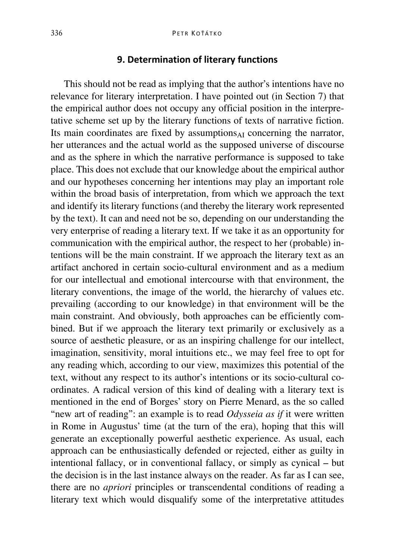#### **9. Determination of literary functions**

This should not be read as implying that the author's intentions have no relevance for literary interpretation. I have pointed out (in Section 7) that the empirical author does not occupy any official position in the interpretative scheme set up by the literary functions of texts of narrative fiction. Its main coordinates are fixed by assumptions $_{AI}$  concerning the narrator, her utterances and the actual world as the supposed universe of discourse and as the sphere in which the narrative performance is supposed to take place. This does not exclude that our knowledge about the empirical author and our hypotheses concerning her intentions may play an important role within the broad basis of interpretation, from which we approach the text and identify its literary functions (and thereby the literary work represented by the text). It can and need not be so, depending on our understanding the very enterprise of reading a literary text. If we take it as an opportunity for communication with the empirical author, the respect to her (probable) intentions will be the main constraint. If we approach the literary text as an artifact anchored in certain socio-cultural environment and as a medium for our intellectual and emotional intercourse with that environment, the literary conventions, the image of the world, the hierarchy of values etc. prevailing (according to our knowledge) in that environment will be the main constraint. And obviously, both approaches can be efficiently combined. But if we approach the literary text primarily or exclusively as a source of aesthetic pleasure, or as an inspiring challenge for our intellect, imagination, sensitivity, moral intuitions etc., we may feel free to opt for any reading which, according to our view, maximizes this potential of the text, without any respect to its author's intentions or its socio-cultural coordinates. A radical version of this kind of dealing with a literary text is mentioned in the end of Borges' story on Pierre Menard, as the so called "new art of reading": an example is to read *Odysseia as if* it were written in Rome in Augustus' time (at the turn of the era), hoping that this will generate an exceptionally powerful aesthetic experience. As usual, each approach can be enthusiastically defended or rejected, either as guilty in intentional fallacy, or in conventional fallacy, or simply as cynical – but the decision is in the last instance always on the reader. As far as I can see, there are no *apriori* principles or transcendental conditions of reading a literary text which would disqualify some of the interpretative attitudes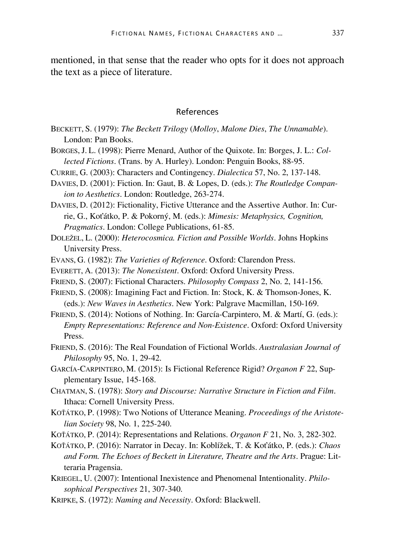mentioned, in that sense that the reader who opts for it does not approach the text as a piece of literature.

#### References

- BECKETT, S. (1979): *The Beckett Trilogy* (*Molloy*, *Malone Dies*, *The Unnamable*). London: Pan Books.
- BORGES, J. L. (1998): Pierre Menard, Author of the Quixote. In: Borges, J. L.: *Collected Fictions*. (Trans. by A. Hurley). London: Penguin Books, 88-95.
- CURRIE, G. (2003): Characters and Contingency. *Dialectica* 57, No. 2, 137-148.
- DAVIES, D. (2001): Fiction. In: Gaut, B. & Lopes, D. (eds.): *The Routledge Companion to Aesthetics*. London: Routledge, 263-274.
- DAVIES, D. (2012): Fictionality, Fictive Utterance and the Assertive Author. In: Currie, G., Koťátko, P. & Pokorný, M. (eds.): *Mimesis: Metaphysics, Cognition, Pragmatics*. London: College Publications, 61-85.
- DOLEŽEL, L. (2000): *Heterocosmica. Fiction and Possible Worlds*. Johns Hopkins University Press.
- EVANS, G. (1982): *The Varieties of Reference*. Oxford: Clarendon Press.
- EVERETT, A. (2013): *The Nonexistent*. Oxford: Oxford University Press.
- FRIEND, S. (2007): Fictional Characters. *[Philosophy Compass](https://philpapers.org/asearch.pl?pub=822)* 2, No. 2, 141-156.
- FRIEND, S. (2008): Imagining Fact and Fiction. In: Stock, K. & Thomson-Jones, K. (eds.): *New Waves in Aesthetics*. New York: Palgrave Macmillan, 150-169.
- FRIEND, S. (2014): Notions of Nothing. In: García-Carpintero, M. & Martí, G. (eds.): *Empty Representations: Reference and Non-Existence*. Oxford: Oxford University Press.
- FRIEND, S. (2016): The Real Foundation of Fictional Worlds. *Australasian Journal of Philosophy* 95, No. 1, 29-42.
- GARCÍA-CARPINTERO, M. (2015): Is Fictional Reference Rigid? *Organon F* 22, Supplementary Issue, 145-168.
- CHATMAN, S. (1978): *Story and Discourse: Narrative Structure in Fiction and Film*. Ithaca: Cornell University Press.
- KOŤÁTKO, P. (1998): Two Notions of Utterance Meaning. *Proceedings of the Aristotelian Society* 98, No. 1, 225-240.
- KOŤÁTKO, P. (2014): Representations and Relations. *Organon F* 21, No. 3, 282-302.
- KOŤÁTKO, P. (2016): Narrator in Decay. In: Koblížek, T. & Koťátko, P. (eds.): *Chaos and Form. The Echoes of Beckett in Literature, Theatre and the Arts*. Prague: Litteraria Pragensia.
- KRIEGEL, U. (2007): Intentional Inexistence and Phenomenal Intentionality. *Philosophical Perspectives* 21, 307-340.
- KRIPKE, S. (1972): *Naming and Necessity*. Oxford: Blackwell.